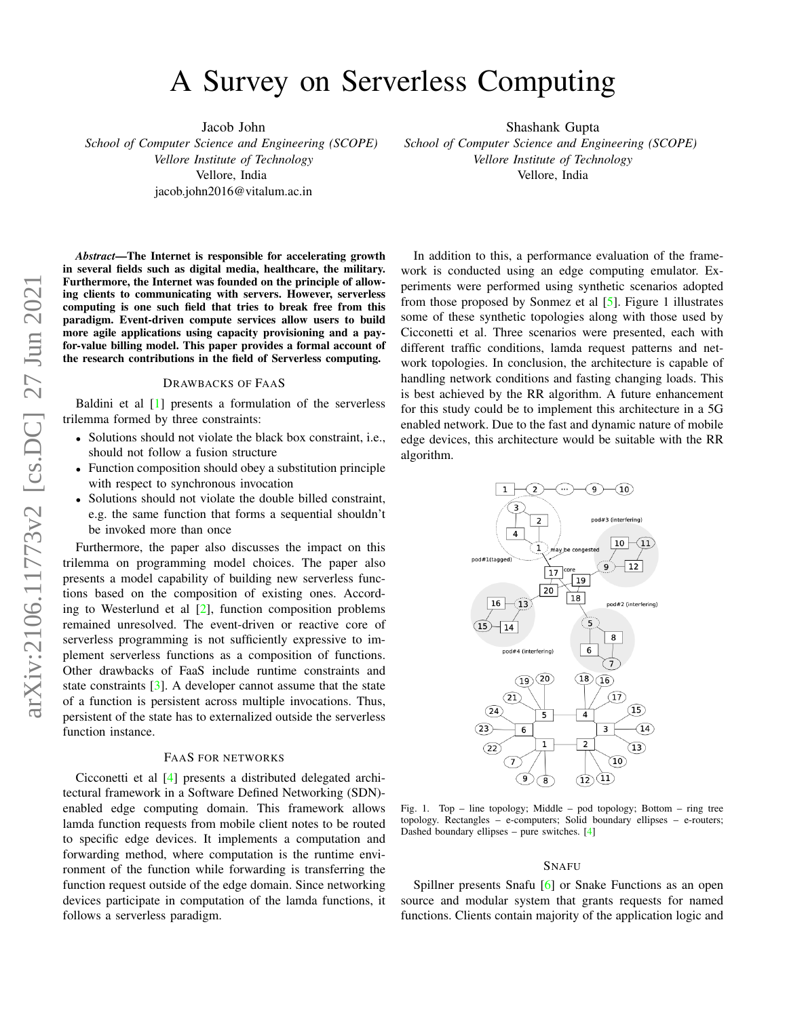# A Survey on Serverless Computing

Jacob John *School of Computer Science and Engineering (SCOPE) Vellore Institute of Technology* Vellore, India jacob.john2016@vitalum.ac.in

Shashank Gupta

*School of Computer Science and Engineering (SCOPE) Vellore Institute of Technology* Vellore, India

*Abstract*—The Internet is responsible for accelerating growth in several fields such as digital media, healthcare, the military. Furthermore, the Internet was founded on the principle of allowing clients to communicating with servers. However, serverless computing is one such field that tries to break free from this paradigm. Event-driven compute services allow users to build more agile applications using capacity provisioning and a payfor-value billing model. This paper provides a formal account of the research contributions in the field of Serverless computing.

#### DRAWBACKS OF FAAS

Baldini et al [\[1\]](#page-6-0) presents a formulation of the serverless trilemma formed by three constraints:

- Solutions should not violate the black box constraint, i.e., should not follow a fusion structure
- Function composition should obey a substitution principle with respect to synchronous invocation
- Solutions should not violate the double billed constraint, e.g. the same function that forms a sequential shouldn't be invoked more than once

Furthermore, the paper also discusses the impact on this trilemma on programming model choices. The paper also presents a model capability of building new serverless functions based on the composition of existing ones. According to Westerlund et al [\[2\]](#page-6-1), function composition problems remained unresolved. The event-driven or reactive core of serverless programming is not sufficiently expressive to implement serverless functions as a composition of functions. Other drawbacks of FaaS include runtime constraints and state constraints  $[3]$ . A developer cannot assume that the state of a function is persistent across multiple invocations. Thus, persistent of the state has to externalized outside the serverless function instance.

#### FAAS FOR NETWORKS

Cicconetti et al [\[4\]](#page-6-3) presents a distributed delegated architectural framework in a Software Defined Networking (SDN) enabled edge computing domain. This framework allows lamda function requests from mobile client notes to be routed to specific edge devices. It implements a computation and forwarding method, where computation is the runtime environment of the function while forwarding is transferring the function request outside of the edge domain. Since networking devices participate in computation of the lamda functions, it follows a serverless paradigm.

In addition to this, a performance evaluation of the framework is conducted using an edge computing emulator. Experiments were performed using synthetic scenarios adopted from those proposed by Sonmez et al [\[5\]](#page-6-4). Figure 1 illustrates some of these synthetic topologies along with those used by Cicconetti et al. Three scenarios were presented, each with different traffic conditions, lamda request patterns and network topologies. In conclusion, the architecture is capable of handling network conditions and fasting changing loads. This is best achieved by the RR algorithm. A future enhancement for this study could be to implement this architecture in a 5G enabled network. Due to the fast and dynamic nature of mobile edge devices, this architecture would be suitable with the RR algorithm.



Fig. 1. Top – line topology; Middle – pod topology; Bottom – ring tree topology. Rectangles – e-computers; Solid boundary ellipses – e-routers; Dashed boundary ellipses – pure switches. [\[4\]](#page-6-3)

#### **SNAFU**

Spillner presents Snafu [\[6\]](#page-6-5) or Snake Functions as an open source and modular system that grants requests for named functions. Clients contain majority of the application logic and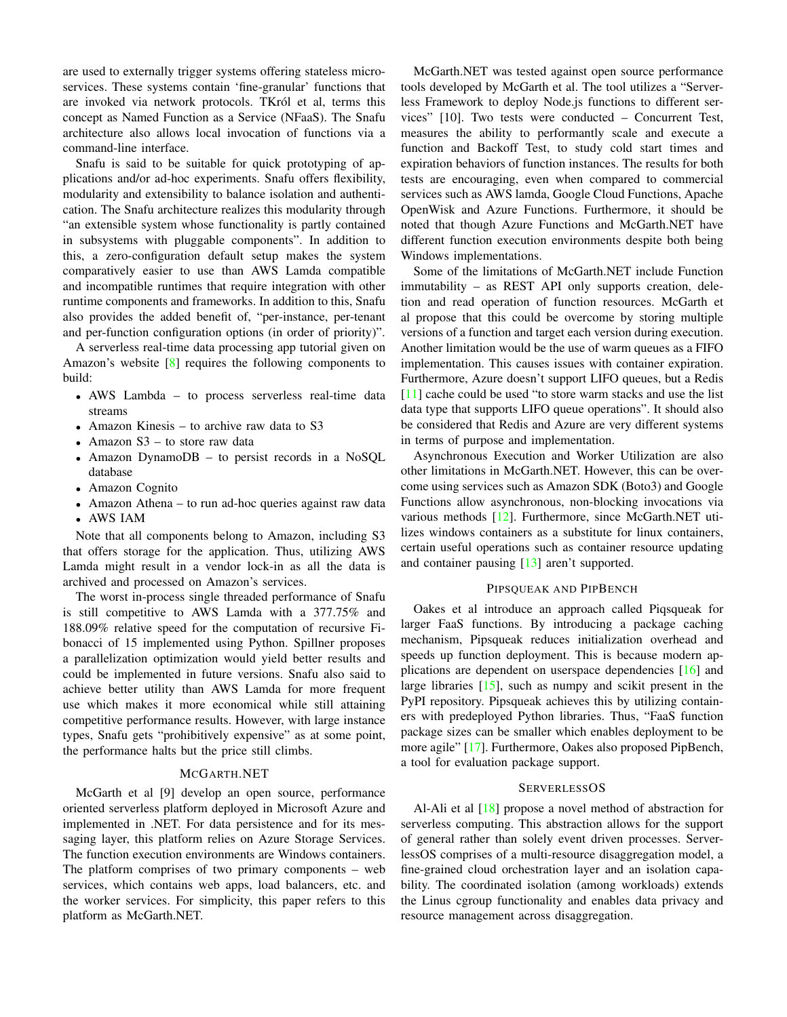are used to externally trigger systems offering stateless microservices. These systems contain 'fine-granular' functions that are invoked via network protocols. TKról et al, terms this concept as Named Function as a Service (NFaaS). The Snafu architecture also allows local invocation of functions via a command-line interface.

Snafu is said to be suitable for quick prototyping of applications and/or ad-hoc experiments. Snafu offers flexibility, modularity and extensibility to balance isolation and authentication. The Snafu architecture realizes this modularity through "an extensible system whose functionality is partly contained in subsystems with pluggable components". In addition to this, a zero-configuration default setup makes the system comparatively easier to use than AWS Lamda compatible and incompatible runtimes that require integration with other runtime components and frameworks. In addition to this, Snafu also provides the added benefit of, "per-instance, per-tenant and per-function configuration options (in order of priority)".

A serverless real-time data processing app tutorial given on Amazon's website [\[8\]](#page-6-6) requires the following components to build:

- AWS Lambda to process serverless real-time data streams
- Amazon Kinesis to archive raw data to S3
- Amazon S3 to store raw data
- Amazon DynamoDB to persist records in a NoSQL database
- Amazon Cognito
- Amazon Athena to run ad-hoc queries against raw data
- AWS IAM

Note that all components belong to Amazon, including S3 that offers storage for the application. Thus, utilizing AWS Lamda might result in a vendor lock-in as all the data is archived and processed on Amazon's services.

The worst in-process single threaded performance of Snafu is still competitive to AWS Lamda with a 377.75% and 188.09% relative speed for the computation of recursive Fibonacci of 15 implemented using Python. Spillner proposes a parallelization optimization would yield better results and could be implemented in future versions. Snafu also said to achieve better utility than AWS Lamda for more frequent use which makes it more economical while still attaining competitive performance results. However, with large instance types, Snafu gets "prohibitively expensive" as at some point, the performance halts but the price still climbs.

## MCGARTH.NET

McGarth et al [9] develop an open source, performance oriented serverless platform deployed in Microsoft Azure and implemented in .NET. For data persistence and for its messaging layer, this platform relies on Azure Storage Services. The function execution environments are Windows containers. The platform comprises of two primary components – web services, which contains web apps, load balancers, etc. and the worker services. For simplicity, this paper refers to this platform as McGarth.NET.

McGarth.NET was tested against open source performance tools developed by McGarth et al. The tool utilizes a "Serverless Framework to deploy Node.js functions to different services" [10]. Two tests were conducted – Concurrent Test, measures the ability to performantly scale and execute a function and Backoff Test, to study cold start times and expiration behaviors of function instances. The results for both tests are encouraging, even when compared to commercial services such as AWS lamda, Google Cloud Functions, Apache OpenWisk and Azure Functions. Furthermore, it should be noted that though Azure Functions and McGarth.NET have different function execution environments despite both being Windows implementations.

Some of the limitations of McGarth.NET include Function immutability – as REST API only supports creation, deletion and read operation of function resources. McGarth et al propose that this could be overcome by storing multiple versions of a function and target each version during execution. Another limitation would be the use of warm queues as a FIFO implementation. This causes issues with container expiration. Furthermore, Azure doesn't support LIFO queues, but a Redis [\[11\]](#page-6-7) cache could be used "to store warm stacks and use the list data type that supports LIFO queue operations". It should also be considered that Redis and Azure are very different systems in terms of purpose and implementation.

Asynchronous Execution and Worker Utilization are also other limitations in McGarth.NET. However, this can be overcome using services such as Amazon SDK (Boto3) and Google Functions allow asynchronous, non-blocking invocations via various methods [\[12\]](#page-6-8). Furthermore, since McGarth.NET utilizes windows containers as a substitute for linux containers, certain useful operations such as container resource updating and container pausing [\[13\]](#page-6-9) aren't supported.

### PIPSQUEAK AND PIPBENCH

Oakes et al introduce an approach called Piqsqueak for larger FaaS functions. By introducing a package caching mechanism, Pipsqueak reduces initialization overhead and speeds up function deployment. This is because modern applications are dependent on userspace dependencies [\[16\]](#page-6-10) and large libraries  $[15]$ , such as numpy and scikit present in the PyPI repository. Pipsqueak achieves this by utilizing containers with predeployed Python libraries. Thus, "FaaS function package sizes can be smaller which enables deployment to be more agile" [\[17\]](#page-6-12). Furthermore, Oakes also proposed PipBench, a tool for evaluation package support.

## **SERVERLESSOS**

Al-Ali et al [\[18\]](#page-6-13) propose a novel method of abstraction for serverless computing. This abstraction allows for the support of general rather than solely event driven processes. ServerlessOS comprises of a multi-resource disaggregation model, a fine-grained cloud orchestration layer and an isolation capability. The coordinated isolation (among workloads) extends the Linus cgroup functionality and enables data privacy and resource management across disaggregation.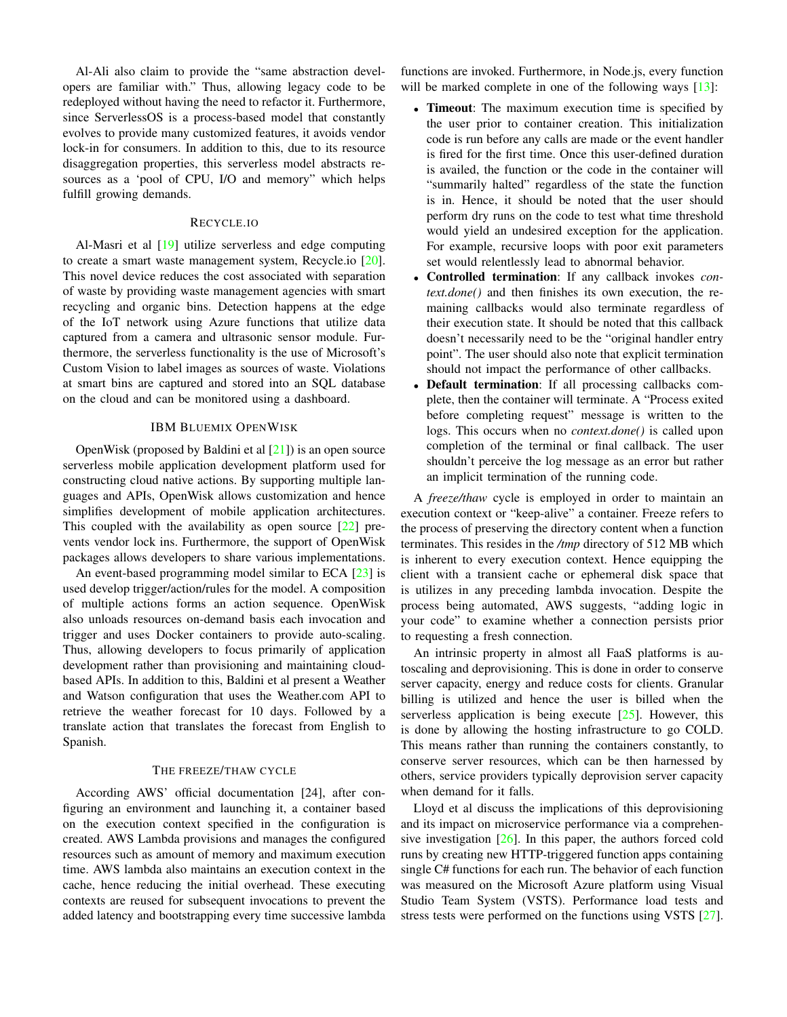Al-Ali also claim to provide the "same abstraction developers are familiar with." Thus, allowing legacy code to be redeployed without having the need to refactor it. Furthermore, since ServerlessOS is a process-based model that constantly evolves to provide many customized features, it avoids vendor lock-in for consumers. In addition to this, due to its resource disaggregation properties, this serverless model abstracts resources as a 'pool of CPU, I/O and memory" which helps fulfill growing demands.

#### RECYCLE.IO

Al-Masri et al [\[19\]](#page-6-14) utilize serverless and edge computing to create a smart waste management system, Recycle.io [\[20\]](#page-6-15). This novel device reduces the cost associated with separation of waste by providing waste management agencies with smart recycling and organic bins. Detection happens at the edge of the IoT network using Azure functions that utilize data captured from a camera and ultrasonic sensor module. Furthermore, the serverless functionality is the use of Microsoft's Custom Vision to label images as sources of waste. Violations at smart bins are captured and stored into an SQL database on the cloud and can be monitored using a dashboard.

## IBM BLUEMIX OPENWISK

OpenWisk (proposed by Baldini et al  $[21]$ ) is an open source serverless mobile application development platform used for constructing cloud native actions. By supporting multiple languages and APIs, OpenWisk allows customization and hence simplifies development of mobile application architectures. This coupled with the availability as open source  $[22]$  prevents vendor lock ins. Furthermore, the support of OpenWisk packages allows developers to share various implementations.

An event-based programming model similar to ECA [\[23\]](#page-6-18) is used develop trigger/action/rules for the model. A composition of multiple actions forms an action sequence. OpenWisk also unloads resources on-demand basis each invocation and trigger and uses Docker containers to provide auto-scaling. Thus, allowing developers to focus primarily of application development rather than provisioning and maintaining cloudbased APIs. In addition to this, Baldini et al present a Weather and Watson configuration that uses the Weather.com API to retrieve the weather forecast for 10 days. Followed by a translate action that translates the forecast from English to Spanish.

## THE FREEZE/THAW CYCLE

According AWS' official documentation [24], after configuring an environment and launching it, a container based on the execution context specified in the configuration is created. AWS Lambda provisions and manages the configured resources such as amount of memory and maximum execution time. AWS lambda also maintains an execution context in the cache, hence reducing the initial overhead. These executing contexts are reused for subsequent invocations to prevent the added latency and bootstrapping every time successive lambda functions are invoked. Furthermore, in Node.js, every function will be marked complete in one of the following ways [\[13\]](#page-6-9):

- Timeout: The maximum execution time is specified by the user prior to container creation. This initialization code is run before any calls are made or the event handler is fired for the first time. Once this user-defined duration is availed, the function or the code in the container will "summarily halted" regardless of the state the function is in. Hence, it should be noted that the user should perform dry runs on the code to test what time threshold would yield an undesired exception for the application. For example, recursive loops with poor exit parameters set would relentlessly lead to abnormal behavior.
- Controlled termination: If any callback invokes *context.done()* and then finishes its own execution, the remaining callbacks would also terminate regardless of their execution state. It should be noted that this callback doesn't necessarily need to be the "original handler entry point". The user should also note that explicit termination should not impact the performance of other callbacks.
- Default termination: If all processing callbacks complete, then the container will terminate. A "Process exited before completing request" message is written to the logs. This occurs when no *context.done()* is called upon completion of the terminal or final callback. The user shouldn't perceive the log message as an error but rather an implicit termination of the running code.

A *freeze/thaw* cycle is employed in order to maintain an execution context or "keep-alive" a container. Freeze refers to the process of preserving the directory content when a function terminates. This resides in the */tmp* directory of 512 MB which is inherent to every execution context. Hence equipping the client with a transient cache or ephemeral disk space that is utilizes in any preceding lambda invocation. Despite the process being automated, AWS suggests, "adding logic in your code" to examine whether a connection persists prior to requesting a fresh connection.

An intrinsic property in almost all FaaS platforms is autoscaling and deprovisioning. This is done in order to conserve server capacity, energy and reduce costs for clients. Granular billing is utilized and hence the user is billed when the serverless application is being execute  $[25]$ . However, this is done by allowing the hosting infrastructure to go COLD. This means rather than running the containers constantly, to conserve server resources, which can be then harnessed by others, service providers typically deprovision server capacity when demand for it falls.

Lloyd et al discuss the implications of this deprovisioning and its impact on microservice performance via a comprehensive investigation  $[26]$ . In this paper, the authors forced cold runs by creating new HTTP-triggered function apps containing single C# functions for each run. The behavior of each function was measured on the Microsoft Azure platform using Visual Studio Team System (VSTS). Performance load tests and stress tests were performed on the functions using VSTS [\[27\]](#page-6-21).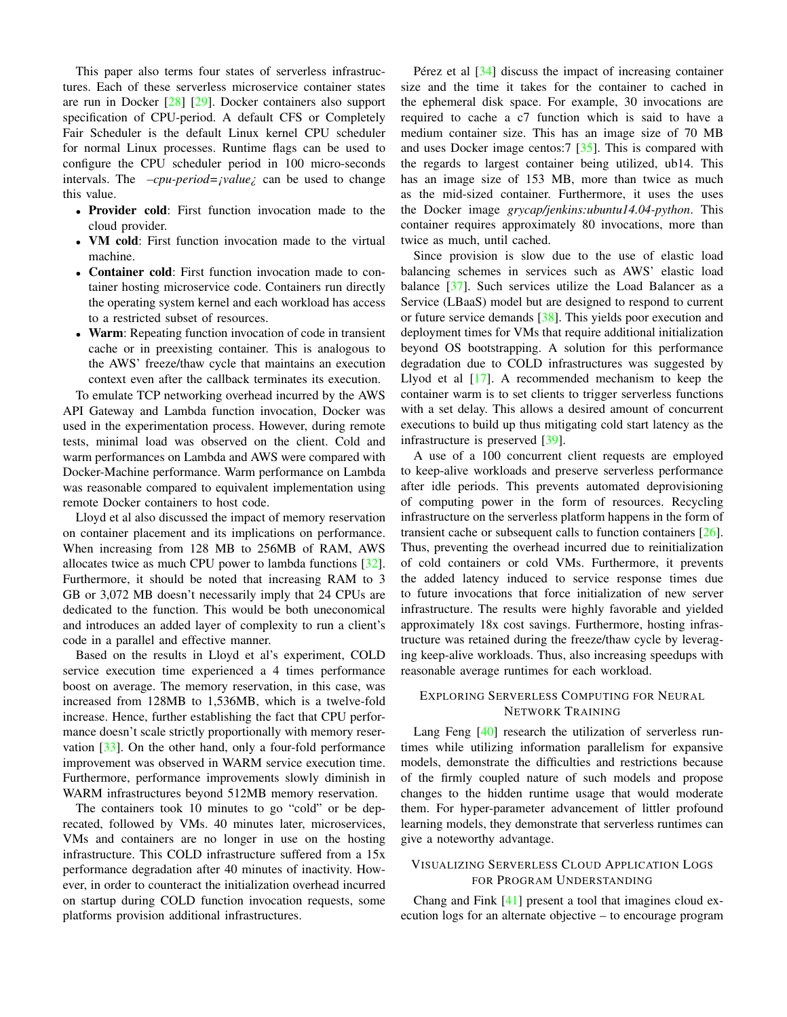This paper also terms four states of serverless infrastructures. Each of these serverless microservice container states are run in Docker [\[28\]](#page-6-22) [\[29\]](#page-6-23). Docker containers also support specification of CPU-period. A default CFS or Completely Fair Scheduler is the default Linux kernel CPU scheduler for normal Linux processes. Runtime flags can be used to configure the CPU scheduler period in 100 micro-seconds intervals. The *–cpu-period=¡value¿* can be used to change this value.

- Provider cold: First function invocation made to the cloud provider.
- VM cold: First function invocation made to the virtual machine.
- Container cold: First function invocation made to container hosting microservice code. Containers run directly the operating system kernel and each workload has access to a restricted subset of resources.
- Warm: Repeating function invocation of code in transient cache or in preexisting container. This is analogous to the AWS' freeze/thaw cycle that maintains an execution context even after the callback terminates its execution.

To emulate TCP networking overhead incurred by the AWS API Gateway and Lambda function invocation, Docker was used in the experimentation process. However, during remote tests, minimal load was observed on the client. Cold and warm performances on Lambda and AWS were compared with Docker-Machine performance. Warm performance on Lambda was reasonable compared to equivalent implementation using remote Docker containers to host code.

Lloyd et al also discussed the impact of memory reservation on container placement and its implications on performance. When increasing from 128 MB to 256MB of RAM, AWS allocates twice as much CPU power to lambda functions [\[32\]](#page-6-24). Furthermore, it should be noted that increasing RAM to 3 GB or 3,072 MB doesn't necessarily imply that 24 CPUs are dedicated to the function. This would be both uneconomical and introduces an added layer of complexity to run a client's code in a parallel and effective manner.

Based on the results in Lloyd et al's experiment, COLD service execution time experienced a 4 times performance boost on average. The memory reservation, in this case, was increased from 128MB to 1,536MB, which is a twelve-fold increase. Hence, further establishing the fact that CPU performance doesn't scale strictly proportionally with memory reservation [\[33\]](#page-6-25). On the other hand, only a four-fold performance improvement was observed in WARM service execution time. Furthermore, performance improvements slowly diminish in WARM infrastructures beyond 512MB memory reservation.

The containers took 10 minutes to go "cold" or be deprecated, followed by VMs. 40 minutes later, microservices, VMs and containers are no longer in use on the hosting infrastructure. This COLD infrastructure suffered from a 15x performance degradation after 40 minutes of inactivity. However, in order to counteract the initialization overhead incurred on startup during COLD function invocation requests, some platforms provision additional infrastructures.

Pérez et al  $\left[34\right]$  discuss the impact of increasing container size and the time it takes for the container to cached in the ephemeral disk space. For example, 30 invocations are required to cache a c7 function which is said to have a medium container size. This has an image size of 70 MB and uses Docker image centos:7 [\[35\]](#page-6-27). This is compared with the regards to largest container being utilized, ub14. This has an image size of 153 MB, more than twice as much as the mid-sized container. Furthermore, it uses the uses the Docker image *grycap/jenkins:ubuntu14.04-python*. This container requires approximately 80 invocations, more than twice as much, until cached.

Since provision is slow due to the use of elastic load balancing schemes in services such as AWS' elastic load balance [\[37\]](#page-7-0). Such services utilize the Load Balancer as a Service (LBaaS) model but are designed to respond to current or future service demands [\[38\]](#page-7-1). This yields poor execution and deployment times for VMs that require additional initialization beyond OS bootstrapping. A solution for this performance degradation due to COLD infrastructures was suggested by Llyod et al [\[17\]](#page-6-12). A recommended mechanism to keep the container warm is to set clients to trigger serverless functions with a set delay. This allows a desired amount of concurrent executions to build up thus mitigating cold start latency as the infrastructure is preserved [\[39\]](#page-7-2).

A use of a 100 concurrent client requests are employed to keep-alive workloads and preserve serverless performance after idle periods. This prevents automated deprovisioning of computing power in the form of resources. Recycling infrastructure on the serverless platform happens in the form of transient cache or subsequent calls to function containers [\[26\]](#page-6-20). Thus, preventing the overhead incurred due to reinitialization of cold containers or cold VMs. Furthermore, it prevents the added latency induced to service response times due to future invocations that force initialization of new server infrastructure. The results were highly favorable and yielded approximately 18x cost savings. Furthermore, hosting infrastructure was retained during the freeze/thaw cycle by leveraging keep-alive workloads. Thus, also increasing speedups with reasonable average runtimes for each workload.

## EXPLORING SERVERLESS COMPUTING FOR NEURAL NETWORK TRAINING

Lang Feng [\[40\]](#page-7-3) research the utilization of serverless runtimes while utilizing information parallelism for expansive models, demonstrate the difficulties and restrictions because of the firmly coupled nature of such models and propose changes to the hidden runtime usage that would moderate them. For hyper-parameter advancement of littler profound learning models, they demonstrate that serverless runtimes can give a noteworthy advantage.

## VISUALIZING SERVERLESS CLOUD APPLICATION LOGS FOR PROGRAM UNDERSTANDING

Chang and Fink [\[41\]](#page-7-4) present a tool that imagines cloud execution logs for an alternate objective – to encourage program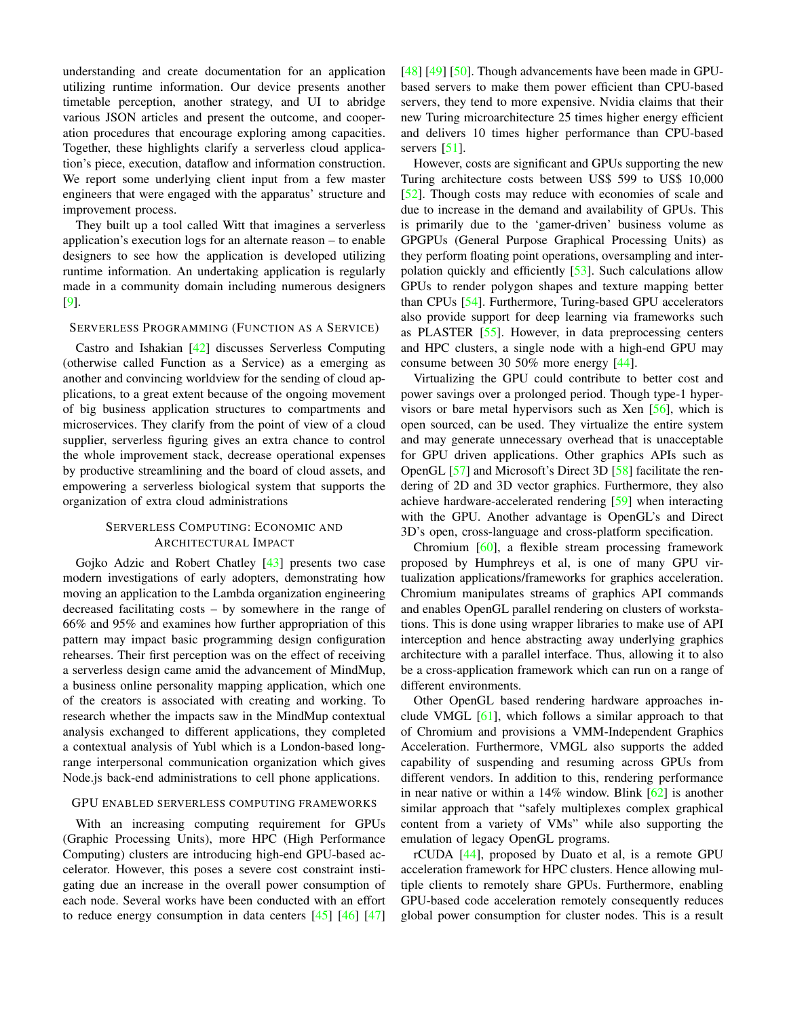understanding and create documentation for an application utilizing runtime information. Our device presents another timetable perception, another strategy, and UI to abridge various JSON articles and present the outcome, and cooperation procedures that encourage exploring among capacities. Together, these highlights clarify a serverless cloud application's piece, execution, dataflow and information construction. We report some underlying client input from a few master engineers that were engaged with the apparatus' structure and improvement process.

They built up a tool called Witt that imagines a serverless application's execution logs for an alternate reason – to enable designers to see how the application is developed utilizing runtime information. An undertaking application is regularly made in a community domain including numerous designers [\[9\]](#page-6-28).

## SERVERLESS PROGRAMMING (FUNCTION AS A SERVICE)

Castro and Ishakian [\[42\]](#page-7-5) discusses Serverless Computing (otherwise called Function as a Service) as a emerging as another and convincing worldview for the sending of cloud applications, to a great extent because of the ongoing movement of big business application structures to compartments and microservices. They clarify from the point of view of a cloud supplier, serverless figuring gives an extra chance to control the whole improvement stack, decrease operational expenses by productive streamlining and the board of cloud assets, and empowering a serverless biological system that supports the organization of extra cloud administrations

## SERVERLESS COMPUTING: ECONOMIC AND ARCHITECTURAL IMPACT

Gojko Adzic and Robert Chatley [\[43\]](#page-7-6) presents two case modern investigations of early adopters, demonstrating how moving an application to the Lambda organization engineering decreased facilitating costs – by somewhere in the range of 66% and 95% and examines how further appropriation of this pattern may impact basic programming design configuration rehearses. Their first perception was on the effect of receiving a serverless design came amid the advancement of MindMup, a business online personality mapping application, which one of the creators is associated with creating and working. To research whether the impacts saw in the MindMup contextual analysis exchanged to different applications, they completed a contextual analysis of Yubl which is a London-based longrange interpersonal communication organization which gives Node.js back-end administrations to cell phone applications.

## GPU ENABLED SERVERLESS COMPUTING FRAMEWORKS

With an increasing computing requirement for GPUs (Graphic Processing Units), more HPC (High Performance Computing) clusters are introducing high-end GPU-based accelerator. However, this poses a severe cost constraint instigating due an increase in the overall power consumption of each node. Several works have been conducted with an effort to reduce energy consumption in data centers  $[45]$   $[46]$   $[47]$ 

[\[48\]](#page-7-10) [\[49\]](#page-7-11) [\[50\]](#page-7-12). Though advancements have been made in GPUbased servers to make them power efficient than CPU-based servers, they tend to more expensive. Nvidia claims that their new Turing microarchitecture 25 times higher energy efficient and delivers 10 times higher performance than CPU-based servers [\[51\]](#page-7-13).

However, costs are significant and GPUs supporting the new Turing architecture costs between US\$ 599 to US\$ 10,000 [\[52\]](#page-7-14). Though costs may reduce with economies of scale and due to increase in the demand and availability of GPUs. This is primarily due to the 'gamer-driven' business volume as GPGPUs (General Purpose Graphical Processing Units) as they perform floating point operations, oversampling and interpolation quickly and efficiently [\[53\]](#page-7-15). Such calculations allow GPUs to render polygon shapes and texture mapping better than CPUs [\[54\]](#page-7-16). Furthermore, Turing-based GPU accelerators also provide support for deep learning via frameworks such as PLASTER [\[55\]](#page-7-17). However, in data preprocessing centers and HPC clusters, a single node with a high-end GPU may consume between 30 50% more energy [\[44\]](#page-7-18).

Virtualizing the GPU could contribute to better cost and power savings over a prolonged period. Though type-1 hypervisors or bare metal hypervisors such as Xen [\[56\]](#page-7-19), which is open sourced, can be used. They virtualize the entire system and may generate unnecessary overhead that is unacceptable for GPU driven applications. Other graphics APIs such as OpenGL [\[57\]](#page-7-20) and Microsoft's Direct 3D [\[58\]](#page-7-21) facilitate the rendering of 2D and 3D vector graphics. Furthermore, they also achieve hardware-accelerated rendering [\[59\]](#page-7-22) when interacting with the GPU. Another advantage is OpenGL's and Direct 3D's open, cross-language and cross-platform specification.

Chromium [\[60\]](#page-7-23), a flexible stream processing framework proposed by Humphreys et al, is one of many GPU virtualization applications/frameworks for graphics acceleration. Chromium manipulates streams of graphics API commands and enables OpenGL parallel rendering on clusters of workstations. This is done using wrapper libraries to make use of API interception and hence abstracting away underlying graphics architecture with a parallel interface. Thus, allowing it to also be a cross-application framework which can run on a range of different environments.

Other OpenGL based rendering hardware approaches include VMGL  $[61]$ , which follows a similar approach to that of Chromium and provisions a VMM-Independent Graphics Acceleration. Furthermore, VMGL also supports the added capability of suspending and resuming across GPUs from different vendors. In addition to this, rendering performance in near native or within a  $14\%$  window. Blink  $[62]$  is another similar approach that "safely multiplexes complex graphical content from a variety of VMs" while also supporting the emulation of legacy OpenGL programs.

rCUDA [\[44\]](#page-7-18), proposed by Duato et al, is a remote GPU acceleration framework for HPC clusters. Hence allowing multiple clients to remotely share GPUs. Furthermore, enabling GPU-based code acceleration remotely consequently reduces global power consumption for cluster nodes. This is a result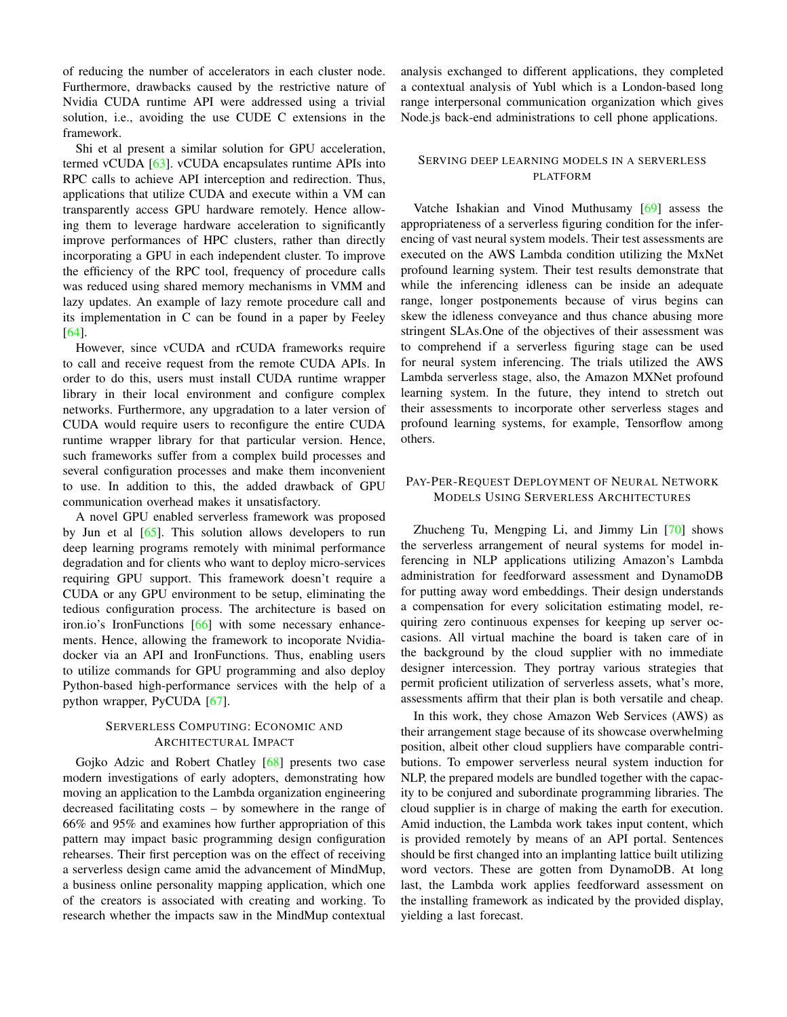of reducing the number of accelerators in each cluster node. Furthermore, drawbacks caused by the restrictive nature of Nvidia CUDA runtime API were addressed using a trivial solution, i.e., avoiding the use CUDE C extensions in the framework.

Shi et al present a similar solution for GPU acceleration, termed vCUDA [\[63\]](#page-7-26). vCUDA encapsulates runtime APIs into RPC calls to achieve API interception and redirection. Thus, applications that utilize CUDA and execute within a VM can transparently access GPU hardware remotely. Hence allowing them to leverage hardware acceleration to significantly improve performances of HPC clusters, rather than directly incorporating a GPU in each independent cluster. To improve the efficiency of the RPC tool, frequency of procedure calls was reduced using shared memory mechanisms in VMM and lazy updates. An example of lazy remote procedure call and its implementation in C can be found in a paper by Feeley [\[64\]](#page-7-27).

However, since vCUDA and rCUDA frameworks require to call and receive request from the remote CUDA APIs. In order to do this, users must install CUDA runtime wrapper library in their local environment and configure complex networks. Furthermore, any upgradation to a later version of CUDA would require users to reconfigure the entire CUDA runtime wrapper library for that particular version. Hence, such frameworks suffer from a complex build processes and several configuration processes and make them inconvenient to use. In addition to this, the added drawback of GPU communication overhead makes it unsatisfactory.

A novel GPU enabled serverless framework was proposed by Jun et al [\[65\]](#page-7-28). This solution allows developers to run deep learning programs remotely with minimal performance degradation and for clients who want to deploy micro-services requiring GPU support. This framework doesn't require a CUDA or any GPU environment to be setup, eliminating the tedious configuration process. The architecture is based on iron.io's IronFunctions [\[66\]](#page-7-29) with some necessary enhancements. Hence, allowing the framework to incoporate Nvidiadocker via an API and IronFunctions. Thus, enabling users to utilize commands for GPU programming and also deploy Python-based high-performance services with the help of a python wrapper, PyCUDA [\[67\]](#page-7-30).

## SERVERLESS COMPUTING: ECONOMIC AND ARCHITECTURAL IMPACT

Gojko Adzic and Robert Chatley [\[68\]](#page-7-31) presents two case modern investigations of early adopters, demonstrating how moving an application to the Lambda organization engineering decreased facilitating costs – by somewhere in the range of 66% and 95% and examines how further appropriation of this pattern may impact basic programming design configuration rehearses. Their first perception was on the effect of receiving a serverless design came amid the advancement of MindMup, a business online personality mapping application, which one of the creators is associated with creating and working. To research whether the impacts saw in the MindMup contextual analysis exchanged to different applications, they completed a contextual analysis of Yubl which is a London-based long range interpersonal communication organization which gives Node.js back-end administrations to cell phone applications.

## SERVING DEEP LEARNING MODELS IN A SERVERLESS PLATFORM

Vatche Ishakian and Vinod Muthusamy [\[69\]](#page-7-32) assess the appropriateness of a serverless figuring condition for the inferencing of vast neural system models. Their test assessments are executed on the AWS Lambda condition utilizing the MxNet profound learning system. Their test results demonstrate that while the inferencing idleness can be inside an adequate range, longer postponements because of virus begins can skew the idleness conveyance and thus chance abusing more stringent SLAs.One of the objectives of their assessment was to comprehend if a serverless figuring stage can be used for neural system inferencing. The trials utilized the AWS Lambda serverless stage, also, the Amazon MXNet profound learning system. In the future, they intend to stretch out their assessments to incorporate other serverless stages and profound learning systems, for example, Tensorflow among others.

## PAY-PER-REQUEST DEPLOYMENT OF NEURAL NETWORK MODELS USING SERVERLESS ARCHITECTURES

Zhucheng Tu, Mengping Li, and Jimmy Lin [\[70\]](#page-7-33) shows the serverless arrangement of neural systems for model inferencing in NLP applications utilizing Amazon's Lambda administration for feedforward assessment and DynamoDB for putting away word embeddings. Their design understands a compensation for every solicitation estimating model, requiring zero continuous expenses for keeping up server occasions. All virtual machine the board is taken care of in the background by the cloud supplier with no immediate designer intercession. They portray various strategies that permit proficient utilization of serverless assets, what's more, assessments affirm that their plan is both versatile and cheap.

In this work, they chose Amazon Web Services (AWS) as their arrangement stage because of its showcase overwhelming position, albeit other cloud suppliers have comparable contributions. To empower serverless neural system induction for NLP, the prepared models are bundled together with the capacity to be conjured and subordinate programming libraries. The cloud supplier is in charge of making the earth for execution. Amid induction, the Lambda work takes input content, which is provided remotely by means of an API portal. Sentences should be first changed into an implanting lattice built utilizing word vectors. These are gotten from DynamoDB. At long last, the Lambda work applies feedforward assessment on the installing framework as indicated by the provided display, yielding a last forecast.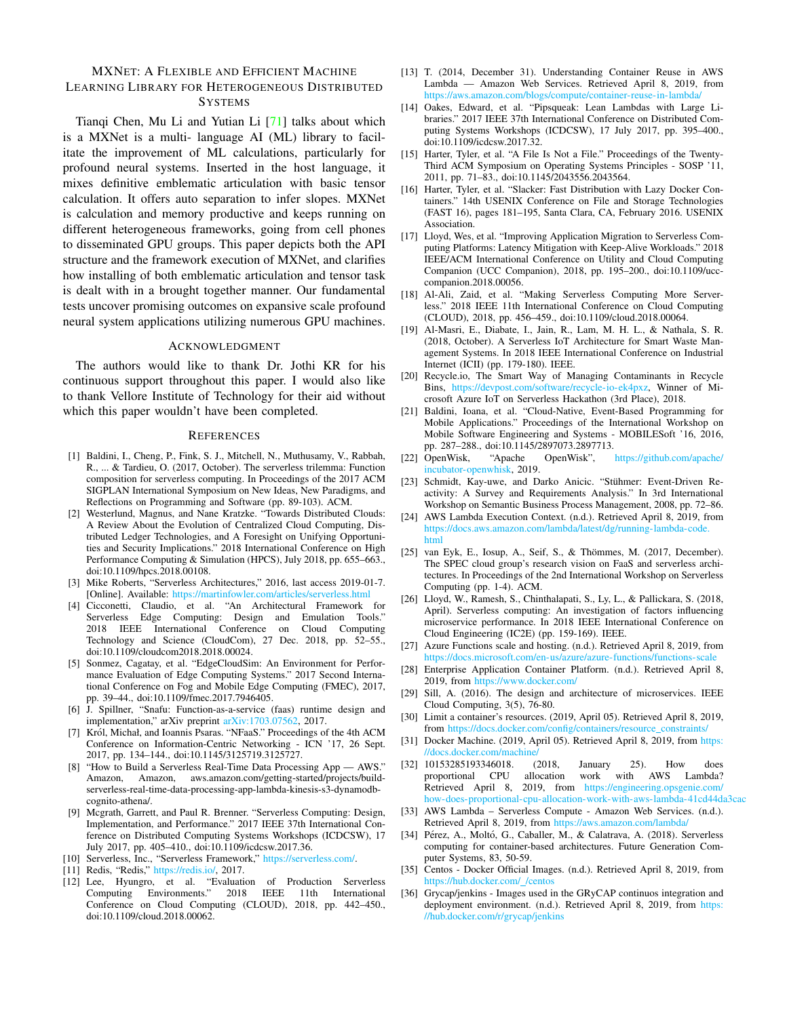## MXNET: A FLEXIBLE AND EFFICIENT MACHINE LEARNING LIBRARY FOR HETEROGENEOUS DISTRIBUTED **SYSTEMS**

Tianqi Chen, Mu Li and Yutian Li [\[71\]](#page-7-34) talks about which is a MXNet is a multi- language AI (ML) library to facilitate the improvement of ML calculations, particularly for profound neural systems. Inserted in the host language, it mixes definitive emblematic articulation with basic tensor calculation. It offers auto separation to infer slopes. MXNet is calculation and memory productive and keeps running on different heterogeneous frameworks, going from cell phones to disseminated GPU groups. This paper depicts both the API structure and the framework execution of MXNet, and clarifies how installing of both emblematic articulation and tensor task is dealt with in a brought together manner. Our fundamental tests uncover promising outcomes on expansive scale profound neural system applications utilizing numerous GPU machines.

### ACKNOWLEDGMENT

The authors would like to thank Dr. Jothi KR for his continuous support throughout this paper. I would also like to thank Vellore Institute of Technology for their aid without which this paper wouldn't have been completed.

#### **REFERENCES**

- <span id="page-6-0"></span>[1] Baldini, I., Cheng, P., Fink, S. J., Mitchell, N., Muthusamy, V., Rabbah, R., ... & Tardieu, O. (2017, October). The serverless trilemma: Function composition for serverless computing. In Proceedings of the 2017 ACM SIGPLAN International Symposium on New Ideas, New Paradigms, and Reflections on Programming and Software (pp. 89-103). ACM.
- <span id="page-6-1"></span>[2] Westerlund, Magnus, and Nane Kratzke. "Towards Distributed Clouds: A Review About the Evolution of Centralized Cloud Computing, Distributed Ledger Technologies, and A Foresight on Unifying Opportunities and Security Implications." 2018 International Conference on High Performance Computing & Simulation (HPCS), July 2018, pp. 655–663., doi:10.1109/hpcs.2018.00108.
- <span id="page-6-2"></span>[3] Mike Roberts, "Serverless Architectures," 2016, last access 2019-01-7. [Online]. Available: <https://martinfowler.com/articles/serverless.html>
- <span id="page-6-3"></span>[4] Cicconetti, Claudio, et al. "An Architectural Framework for Serverless Edge Computing: Design and Emulation Tools." 2018 IEEE International Conference on Cloud Computing Technology and Science (CloudCom), 27 Dec. 2018, pp. 52–55., doi:10.1109/cloudcom2018.2018.00024.
- <span id="page-6-4"></span>[5] Sonmez, Cagatay, et al. "EdgeCloudSim: An Environment for Performance Evaluation of Edge Computing Systems." 2017 Second International Conference on Fog and Mobile Edge Computing (FMEC), 2017, pp. 39–44., doi:10.1109/fmec.2017.7946405.
- <span id="page-6-5"></span>[6] J. Spillner, "Snafu: Function-as-a-service (faas) runtime design and implementation," arXiv preprint [arXiv:1703.07562,](http://arxiv.org/abs/1703.07562) 2017.
- [7] Król, Michał, and Ioannis Psaras. "NFaaS." Proceedings of the 4th ACM Conference on Information-Centric Networking - ICN '17, 26 Sept. 2017, pp. 134–144., doi:10.1145/3125719.3125727.
- <span id="page-6-6"></span>[8] "How to Build a Serverless Real-Time Data Processing App — AWS." Amazon, Amazon, aws.amazon.com/getting-started/projects/buildserverless-real-time-data-processing-app-lambda-kinesis-s3-dynamodbcognito-athena/.
- <span id="page-6-28"></span>[9] Mcgrath, Garrett, and Paul R. Brenner. "Serverless Computing: Design, Implementation, and Performance." 2017 IEEE 37th International Conference on Distributed Computing Systems Workshops (ICDCSW), 17 July 2017, pp. 405–410., doi:10.1109/icdcsw.2017.36.
- [10] Serverless, Inc., "Serverless Framework," [https://serverless.com/.](https://serverless.com/)
- <span id="page-6-7"></span>[11] Redis, "Redis," [https://redis.io/,](https://redis.io/) 2017.
- <span id="page-6-8"></span>[12] Lee, Hyungro, et al. "Evaluation of Production Serverless Computing Environments." 2018 IEEE 11th International Conference on Cloud Computing (CLOUD), 2018, pp. 442–450., doi:10.1109/cloud.2018.00062.
- <span id="page-6-9"></span>[13] T. (2014, December 31). Understanding Container Reuse in AWS Lambda — Amazon Web Services. Retrieved April 8, 2019, from <https://aws.amazon.com/blogs/compute/container-reuse-in-lambda/>
- [14] Oakes, Edward, et al. "Pipsqueak: Lean Lambdas with Large Libraries." 2017 IEEE 37th International Conference on Distributed Computing Systems Workshops (ICDCSW), 17 July 2017, pp. 395–400., doi:10.1109/icdcsw.2017.32.
- <span id="page-6-11"></span>[15] Harter, Tyler, et al. "A File Is Not a File." Proceedings of the Twenty-Third ACM Symposium on Operating Systems Principles - SOSP '11, 2011, pp. 71–83., doi:10.1145/2043556.2043564.
- <span id="page-6-10"></span>[16] Harter, Tyler, et al. "Slacker: Fast Distribution with Lazy Docker Containers." 14th USENIX Conference on File and Storage Technologies (FAST 16), pages 181–195, Santa Clara, CA, February 2016. USENIX Association.
- <span id="page-6-12"></span>[17] Lloyd, Wes, et al. "Improving Application Migration to Serverless Computing Platforms: Latency Mitigation with Keep-Alive Workloads." 2018 IEEE/ACM International Conference on Utility and Cloud Computing Companion (UCC Companion), 2018, pp. 195–200., doi:10.1109/ucccompanion.2018.00056.
- <span id="page-6-13"></span>[18] Al-Ali, Zaid, et al. "Making Serverless Computing More Serverless." 2018 IEEE 11th International Conference on Cloud Computing (CLOUD), 2018, pp. 456–459., doi:10.1109/cloud.2018.00064.
- <span id="page-6-14"></span>[19] Al-Masri, E., Diabate, I., Jain, R., Lam, M. H. L., & Nathala, S. R. (2018, October). A Serverless IoT Architecture for Smart Waste Management Systems. In 2018 IEEE International Conference on Industrial Internet (ICII) (pp. 179-180). IEEE.
- <span id="page-6-15"></span>[20] Recycle.io, The Smart Way of Managing Contaminants in Recycle Bins, [https://devpost.com/software/recycle-io-ek4pxz,](https://devpost.com/software/recycle-io-ek4pxz) Winner of Microsoft Azure IoT on Serverless Hackathon (3rd Place), 2018.
- <span id="page-6-16"></span>[21] Baldini, Ioana, et al. "Cloud-Native, Event-Based Programming for Mobile Applications." Proceedings of the International Workshop on Mobile Software Engineering and Systems - MOBILESoft '16, 2016, pp. 287–288., doi:10.1145/2897073.2897713.<br>OpenWisk, "Apache OpenWisk",
- <span id="page-6-17"></span>[22] OpenWisk, "Apache OpenWisk", [https://github.com/apache/](https://github.com/apache/incubator-openwhisk) [incubator-openwhisk,](https://github.com/apache/incubator-openwhisk) 2019.
- <span id="page-6-18"></span>[23] Schmidt, Kay-uwe, and Darko Anicic. "Stühmer: Event-Driven Reactivity: A Survey and Requirements Analysis." In 3rd International Workshop on Semantic Business Process Management, 2008, pp. 72–86.
- [24] AWS Lambda Execution Context. (n.d.). Retrieved April 8, 2019, from [https://docs.aws.amazon.com/lambda/latest/dg/running-lambda-code.](https://docs.aws.amazon.com/lambda/latest/dg/running-lambda-code.html) [html](https://docs.aws.amazon.com/lambda/latest/dg/running-lambda-code.html)
- <span id="page-6-19"></span>[25] van Eyk, E., Iosup, A., Seif, S., & Thömmes, M. (2017, December). The SPEC cloud group's research vision on FaaS and serverless architectures. In Proceedings of the 2nd International Workshop on Serverless Computing (pp. 1-4). ACM.
- <span id="page-6-20"></span>[26] Lloyd, W., Ramesh, S., Chinthalapati, S., Ly, L., & Pallickara, S. (2018, April). Serverless computing: An investigation of factors influencing microservice performance. In 2018 IEEE International Conference on Cloud Engineering (IC2E) (pp. 159-169). IEEE.
- <span id="page-6-21"></span>[27] Azure Functions scale and hosting. (n.d.). Retrieved April 8, 2019, from <https://docs.microsoft.com/en-us/azure/azure-functions/functions-scale>
- <span id="page-6-22"></span>[28] Enterprise Application Container Platform. (n.d.). Retrieved April 8, 2019, from <https://www.docker.com/>
- <span id="page-6-23"></span>[29] Sill, A. (2016). The design and architecture of microservices. IEEE Cloud Computing, 3(5), 76-80.
- [30] Limit a container's resources. (2019, April 05). Retrieved April 8, 2019, from [https://docs.docker.com/config/containers/resource](https://docs.docker.com/config/containers/resource_constraints/)\_constraints/
- [31] Docker Machine. (2019, April 05). Retrieved April 8, 2019, from [https:](https://docs.docker.com/machine/) [//docs.docker.com/machine/](https://docs.docker.com/machine/)
- <span id="page-6-24"></span>[32] 10153285193346018. (2018, January 25). How does allocation work with AWS Lambda? Retrieved April 8, 2019, from [https://engineering.opsgenie.com/](https://engineering.opsgenie.com/how-does-proportional-cpu-allocation-work-with-aws-lambda-41cd44da3cac) [how-does-proportional-cpu-allocation-work-with-aws-lambda-41cd44da3cac](https://engineering.opsgenie.com/how-does-proportional-cpu-allocation-work-with-aws-lambda-41cd44da3cac)
- <span id="page-6-25"></span>[33] AWS Lambda – Serverless Compute - Amazon Web Services. (n.d.). Retrieved April 8, 2019, from <https://aws.amazon.com/lambda/>
- <span id="page-6-26"></span>[34] Pérez, A., Moltó, G., Caballer, M., & Calatrava, A. (2018). Serverless computing for container-based architectures. Future Generation Computer Systems, 83, 50-59.
- <span id="page-6-27"></span>[35] Centos - Docker Official Images. (n.d.). Retrieved April 8, 2019, from [https://hub.docker.com/](https://hub.docker.com/_/centos)\_/centos
- [36] Grycap/jenkins Images used in the GRyCAP continuos integration and deployment environment. (n.d.). Retrieved April 8, 2019, from [https:](https://hub.docker.com/r/grycap/jenkins) [//hub.docker.com/r/grycap/jenkins](https://hub.docker.com/r/grycap/jenkins)